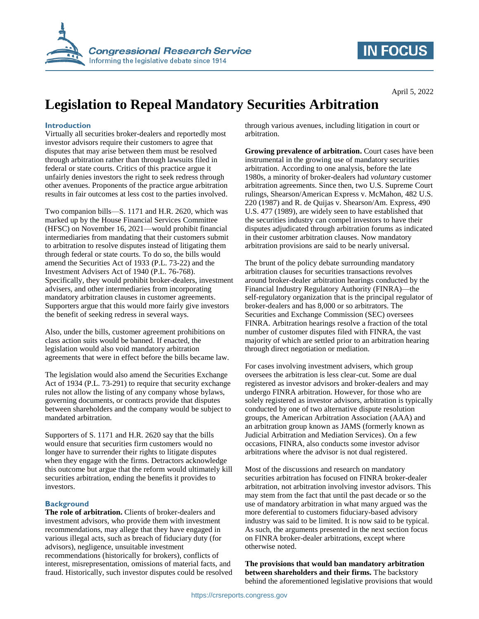

## **IN FOCUS**

April 5, 2022

# **Legislation to Repeal Mandatory Securities Arbitration**

#### **Introduction**

Virtually all securities broker-dealers and reportedly most investor advisors require their customers to agree that disputes that may arise between them must be resolved through arbitration rather than through lawsuits filed in federal or state courts. Critics of this practice argue it unfairly denies investors the right to seek redress through other avenues. Proponents of the practice argue arbitration results in fair outcomes at less cost to the parties involved.

Two companion bills—S. 1171 and H.R. 2620, which was marked up by the House Financial Services Committee (HFSC) on November 16, 2021—would prohibit financial intermediaries from mandating that their customers submit to arbitration to resolve disputes instead of litigating them through federal or state courts. To do so, the bills would amend the Securities Act of 1933 (P.L. 73-22) and the Investment Advisers Act of 1940 (P.L. 76-768). Specifically, they would prohibit broker-dealers, investment advisers, and other intermediaries from incorporating mandatory arbitration clauses in customer agreements. Supporters argue that this would more fairly give investors the benefit of seeking redress in several ways.

Also, under the bills, customer agreement prohibitions on class action suits would be banned. If enacted, the legislation would also void mandatory arbitration agreements that were in effect before the bills became law.

The legislation would also amend the Securities Exchange Act of 1934 (P.L. 73-291) to require that security exchange rules not allow the listing of any company whose bylaws, governing documents, or contracts provide that disputes between shareholders and the company would be subject to mandated arbitration.

Supporters of S. 1171 and H.R. 2620 say that the bills would ensure that securities firm customers would no longer have to surrender their rights to litigate disputes when they engage with the firms. Detractors acknowledge this outcome but argue that the reform would ultimately kill securities arbitration, ending the benefits it provides to investors.

#### **Background**

**The role of arbitration.** Clients of broker-dealers and investment advisors, who provide them with investment recommendations, may allege that they have engaged in various illegal acts, such as breach of fiduciary duty (for advisors), negligence, unsuitable investment recommendations (historically for brokers), conflicts of interest, misrepresentation, omissions of material facts, and fraud. Historically, such investor disputes could be resolved through various avenues, including litigation in court or arbitration.

**Growing prevalence of arbitration.** Court cases have been instrumental in the growing use of mandatory securities arbitration. According to one analysis, before the late 1980s, a minority of broker-dealers had *voluntary* customer arbitration agreements. Since then, two U.S. Supreme Court rulings, Shearson/American Express v. McMahon, 482 U.S. 220 (1987) and R. de Quijas v. Shearson/Am. Express, 490 U.S. 477 (1989), are widely seen to have established that the securities industry can compel investors to have their disputes adjudicated through arbitration forums as indicated in their customer arbitration clauses. Now mandatory arbitration provisions are said to be nearly universal.

The brunt of the policy debate surrounding mandatory arbitration clauses for securities transactions revolves around broker-dealer arbitration hearings conducted by the Financial Industry Regulatory Authority (FINRA)—the self-regulatory organization that is the principal regulator of broker-dealers and has 8,000 or so arbitrators. The Securities and Exchange Commission (SEC) oversees FINRA. Arbitration hearings resolve a fraction of the total number of customer disputes filed with FINRA, the vast majority of which are settled prior to an arbitration hearing through direct negotiation or mediation.

For cases involving investment advisers, which group oversees the arbitration is less clear-cut. Some are dual registered as investor advisors and broker-dealers and may undergo FINRA arbitration. However, for those who are solely registered as investor advisors, arbitration is typically conducted by one of two alternative dispute resolution groups, the American Arbitration Association (AAA) and an arbitration group known as JAMS (formerly known as Judicial Arbitration and Mediation Services). On a few occasions, FINRA, also conducts some investor advisor arbitrations where the advisor is not dual registered.

Most of the discussions and research on mandatory securities arbitration has focused on FINRA broker-dealer arbitration, not arbitration involving investor advisors. This may stem from the fact that until the past decade or so the use of mandatory arbitration in what many argued was the more deferential to customers fiduciary-based advisory industry was said to be limited. It is now said to be typical. As such, the arguments presented in the next section focus on FINRA broker-dealer arbitrations, except where otherwise noted.

**The provisions that would ban mandatory arbitration between shareholders and their firms.** The backstory behind the aforementioned legislative provisions that would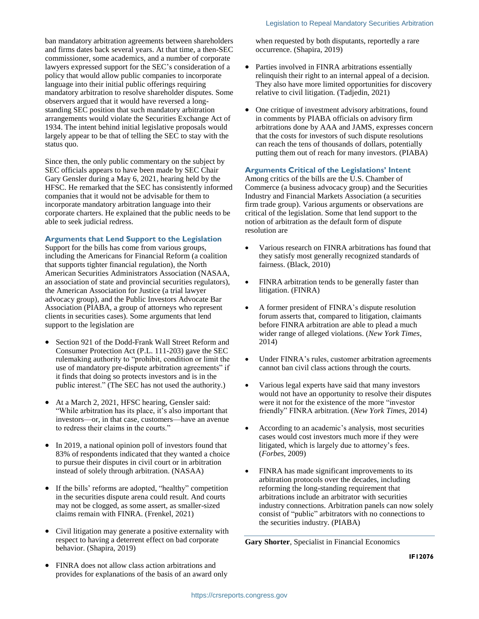ban mandatory arbitration agreements between shareholders and firms dates back several years. At that time, a then-SEC commissioner, some academics, and a number of corporate lawyers expressed support for the SEC's consideration of a policy that would allow public companies to incorporate language into their initial public offerings requiring mandatory arbitration to resolve shareholder disputes. Some observers argued that it would have reversed a longstanding SEC position that such mandatory arbitration arrangements would violate the Securities Exchange Act of 1934. The intent behind initial legislative proposals would largely appear to be that of telling the SEC to stay with the status quo.

Since then, the only public commentary on the subject by SEC officials appears to have been made by SEC Chair Gary Gensler during a May 6, 2021, hearing held by the HFSC. He remarked that the SEC has consistently informed companies that it would not be advisable for them to incorporate mandatory arbitration language into their corporate charters. He explained that the public needs to be able to seek judicial redress.

#### **Arguments that Lend Support to the Legislation**

Support for the bills has come from various groups, including the Americans for Financial Reform (a coalition that supports tighter financial regulation), the North American Securities Administrators Association (NASAA, an association of state and provincial securities regulators), the American Association for Justice (a trial lawyer advocacy group), and the Public Investors Advocate Bar Association (PIABA, a group of attorneys who represent clients in securities cases). Some arguments that lend support to the legislation are

- Section 921 of the Dodd-Frank Wall Street Reform and Consumer Protection Act (P.L. 111-203) gave the SEC rulemaking authority to "prohibit, condition or limit the use of mandatory pre-dispute arbitration agreements" if it finds that doing so protects investors and is in the public interest." (The SEC has not used the authority.)
- At a March 2, 2021, HFSC hearing, Gensler said: "While arbitration has its place, it's also important that investors—or, in that case, customers—have an avenue to redress their claims in the courts."
- In 2019, a national opinion poll of investors found that 83% of respondents indicated that they wanted a choice to pursue their disputes in civil court or in arbitration instead of solely through arbitration. (NASAA)
- If the bills' reforms are adopted, "healthy" competition in the securities dispute arena could result. And courts may not be clogged, as some assert, as smaller-sized claims remain with FINRA. (Frenkel, 2021)
- Civil litigation may generate a positive externality with respect to having a deterrent effect on bad corporate behavior. (Shapira, 2019)
- FINRA does not allow class action arbitrations and provides for explanations of the basis of an award only

when requested by both disputants, reportedly a rare occurrence. (Shapira, 2019)

- Parties involved in FINRA arbitrations essentially relinquish their right to an internal appeal of a decision. They also have more limited opportunities for discovery relative to civil litigation. (Tadjedin, 2021)
- One critique of investment advisory arbitrations, found in comments by PIABA officials on advisory firm arbitrations done by AAA and JAMS, expresses concern that the costs for investors of such dispute resolutions can reach the tens of thousands of dollars, potentially putting them out of reach for many investors. (PIABA)

#### **Arguments Critical of the Legislations' Intent**

Among critics of the bills are the U.S. Chamber of Commerce (a business advocacy group) and the Securities Industry and Financial Markets Association (a securities firm trade group). Various arguments or observations are critical of the legislation. Some that lend support to the notion of arbitration as the default form of dispute resolution are

- Various research on FINRA arbitrations has found that they satisfy most generally recognized standards of fairness. (Black, 2010)
- FINRA arbitration tends to be generally faster than litigation. (FINRA)
- A former president of FINRA's dispute resolution forum asserts that, compared to litigation, claimants before FINRA arbitration are able to plead a much wider range of alleged violations. (*New York Times*, 2014)
- Under FINRA's rules, customer arbitration agreements cannot ban civil class actions through the courts.
- Various legal experts have said that many investors would not have an opportunity to resolve their disputes were it not for the existence of the more "investor friendly" FINRA arbitration. (*New York Times*, 2014)
- According to an academic's analysis, most securities cases would cost investors much more if they were litigated, which is largely due to attorney's fees. (*Forbes*, 2009)
- FINRA has made significant improvements to its arbitration protocols over the decades, including reforming the long-standing requirement that arbitrations include an arbitrator with securities industry connections. Arbitration panels can now solely consist of "public" arbitrators with no connections to the securities industry. (PIABA)

**Gary Shorter**, Specialist in Financial Economics